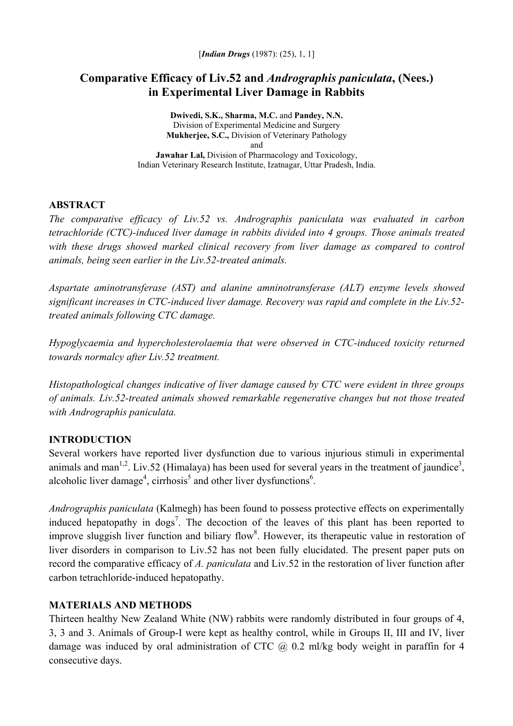# **Comparative Efficacy of Liv.52 and** *Andrographis paniculata***, (Nees.) in Experimental Liver Damage in Rabbits**

**Dwivedi, S.K., Sharma, M.C.** and **Pandey, N.N.**  Division of Experimental Medicine and Surgery **Mukherjee, S.C.,** Division of Veterinary Pathology and **Jawahar Lal,** Division of Pharmacology and Toxicology, Indian Veterinary Research Institute, Izatnagar, Uttar Pradesh, India.

#### **ABSTRACT**

*The comparative efficacy of Liv.52 vs. Andrographis paniculata was evaluated in carbon tetrachloride (CTC)-induced liver damage in rabbits divided into 4 groups. Those animals treated*  with these drugs showed marked clinical recovery from liver damage as compared to control *animals, being seen earlier in the Liv.52-treated animals.* 

*Aspartate aminotransferase (AST) and alanine amninotransferase (ALT) enzyme levels showed significant increases in CTC-induced liver damage. Recovery was rapid and complete in the Liv.52 treated animals following CTC damage.* 

*Hypoglycaemia and hypercholesterolaemia that were observed in CTC-induced toxicity returned towards normalcy after Liv.52 treatment.* 

*Histopathological changes indicative of liver damage caused by CTC were evident in three groups of animals. Liv.52-treated animals showed remarkable regenerative changes but not those treated with Andrographis paniculata.* 

## **INTRODUCTION**

Several workers have reported liver dysfunction due to various injurious stimuli in experimental animals and man<sup>1,2</sup>. Liv.52 (Himalaya) has been used for several years in the treatment of jaundice<sup>3</sup>, alcoholic liver damage<sup>4</sup>, cirrhosis<sup>5</sup> and other liver dysfunctions<sup>6</sup>.

*Andrographis paniculata* (Kalmegh) has been found to possess protective effects on experimentally induced hepatopathy in dogs<sup>7</sup>. The decoction of the leaves of this plant has been reported to improve sluggish liver function and biliary flow<sup>8</sup>. However, its therapeutic value in restoration of liver disorders in comparison to Liv.52 has not been fully elucidated. The present paper puts on record the comparative efficacy of *A. paniculata* and Liv.52 in the restoration of liver function after carbon tetrachloride-induced hepatopathy.

## **MATERIALS AND METHODS**

Thirteen healthy New Zealand White (NW) rabbits were randomly distributed in four groups of 4, 3, 3 and 3. Animals of Group-I were kept as healthy control, while in Groups II, III and IV, liver damage was induced by oral administration of CTC  $(a)$ , 0.2 ml/kg body weight in paraffin for 4 consecutive days.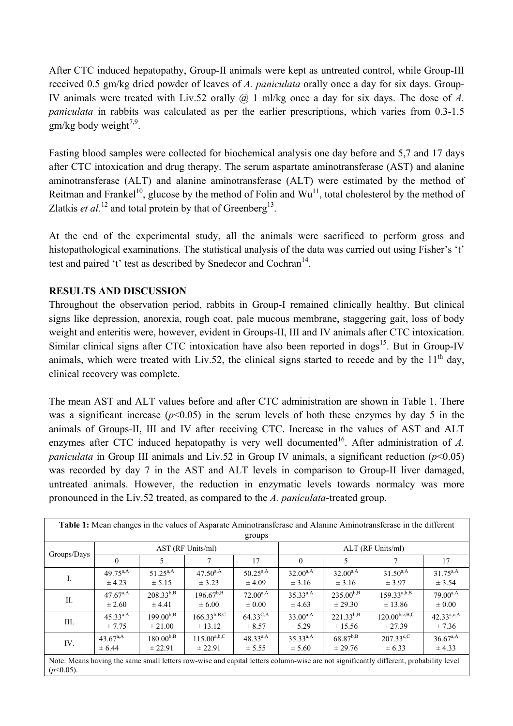After CTC induced hepatopathy, Group-II animals were kept as untreated control, while Group-III received 0.5 gm/kg dried powder of leaves of *A. paniculata* orally once a day for six days. Group-IV animals were treated with Liv.52 orally @ 1 ml/kg once a day for six days. The dose of *A. paniculata* in rabbits was calculated as per the earlier prescriptions, which varies from 0.3-1.5  $gm/kg$  body weight<sup>7,9</sup>.

Fasting blood samples were collected for biochemical analysis one day before and 5,7 and 17 days after CTC intoxication and drug therapy. The serum aspartate aminotransferase (AST) and alanine aminotransferase (ALT) and alanine aminotransferase (ALT) were estimated by the method of Reitman and Frankel<sup>10</sup>, glucose by the method of Folin and  $Wu^{11}$ , total cholesterol by the method of Zlatkis *et al.*<sup>12</sup> and total protein by that of Greenberg<sup>13</sup>.

At the end of the experimental study, all the animals were sacrificed to perform gross and histopathological examinations. The statistical analysis of the data was carried out using Fisher's 't' test and paired 't' test as described by Snedecor and Cochran<sup>14</sup>.

#### **RESULTS AND DISCUSSION**

Throughout the observation period, rabbits in Group-I remained clinically healthy. But clinical signs like depression, anorexia, rough coat, pale mucous membrane, staggering gait, loss of body weight and enteritis were, however, evident in Groups-II, III and IV animals after CTC intoxication. Similar clinical signs after CTC intoxication have also been reported in dogs<sup>15</sup>. But in Group-IV animals, which were treated with Liv.52, the clinical signs started to recede and by the  $11<sup>th</sup>$  day, clinical recovery was complete.

The mean AST and ALT values before and after CTC administration are shown in Table 1. There was a significant increase  $(p<0.05)$  in the serum levels of both these enzymes by day 5 in the animals of Groups-II, III and IV after receiving CTC. Increase in the values of AST and ALT enzymes after CTC induced hepatopathy is very well documented<sup>16</sup>. After administration of  $A$ . *paniculata* in Group III animals and Liv.52 in Group IV animals, a significant reduction  $(p<0.05)$ was recorded by day 7 in the AST and ALT levels in comparison to Group-II liver damaged, untreated animals. However, the reduction in enzymatic levels towards normalcy was more pronounced in the Liv.52 treated, as compared to the *A. paniculata*-treated group.

| Table 1: Mean changes in the values of Asparate Aminotransferase and Alanine Aminotransferase in the different                                        |                             |                               |                                 |                                    |                             |                           |                               |                             |  |  |  |  |
|-------------------------------------------------------------------------------------------------------------------------------------------------------|-----------------------------|-------------------------------|---------------------------------|------------------------------------|-----------------------------|---------------------------|-------------------------------|-----------------------------|--|--|--|--|
| groups                                                                                                                                                |                             |                               |                                 |                                    |                             |                           |                               |                             |  |  |  |  |
| Groups/Days                                                                                                                                           | AST (RF Units/ml)           |                               |                                 |                                    | ALT (RF Units/ml)           |                           |                               |                             |  |  |  |  |
|                                                                                                                                                       | $\theta$                    | 5                             | $\tau$                          | 17                                 | $\Omega$                    | 5                         | 7                             | 17                          |  |  |  |  |
| I.                                                                                                                                                    | $49.75^{a,A}$<br>± 4.23     | $51.25^{a,A}$<br>± 5.15       | $47.50^{a,A}$<br>$\pm$ 3.23     | $50.25^{a,A}$<br>$\pm$ 4.09        | $32.00^{a,A}$<br>$\pm$ 3.16 | $32.00^{a,A}$<br>± 3.16   | $31.50^{a,A}$<br>$\pm$ 3.97   | $31.75^{a,A}$<br>± 3.54     |  |  |  |  |
| П.                                                                                                                                                    | $47.67^{a,A}$<br>$\pm 2.60$ | $208.33^{b,B}$<br>± 4.41      | $196.67^{b,B}$<br>$\pm 6.00$    | $72.00^{a,A}$<br>$\pm 0.00$        | $35.33^{a,A}$<br>± 4.63     | $235.00^{b,B}$<br>± 29.30 | $159.33^{a,b,B}$<br>± 13.86   | $79.00^{a,A}$<br>$\pm 0.00$ |  |  |  |  |
| Ш.                                                                                                                                                    | $45.33^{a,A}$<br>± 7.75     | $199.00^{b,B}$<br>$\pm 21.00$ | $166.33^{b,B,C}$<br>$\pm 13.12$ | $64.33^{\text{C,A}}$<br>$\pm 8.57$ | $33.00^{a,A}$<br>± 5.29     | $221.33^{b,B}$<br>± 15.56 | $120.00^{b,c,B,C}$<br>± 27.39 | $42.33^{a,c,A}$<br>± 7.36   |  |  |  |  |
| IV.                                                                                                                                                   | $43.67^{a,A}$<br>± 6.44     | $180.00^{b,B}$<br>± 22.91     | $115.00^{a,b,C}$<br>± 22.91     | $48.33^{a,A}$<br>± 5.55            | $35.33^{a,A}$<br>± 5.60     | $68.87^{b,B}$<br>± 29.76  | $207.33^{c,C}$<br>$\pm 6.33$  | $36.67^{a,A}$<br>± 4.33     |  |  |  |  |
| Note: Means having the same small letters row-wise and capital letters column-wise are not significantly different, probability level<br>$(p<0.05)$ . |                             |                               |                                 |                                    |                             |                           |                               |                             |  |  |  |  |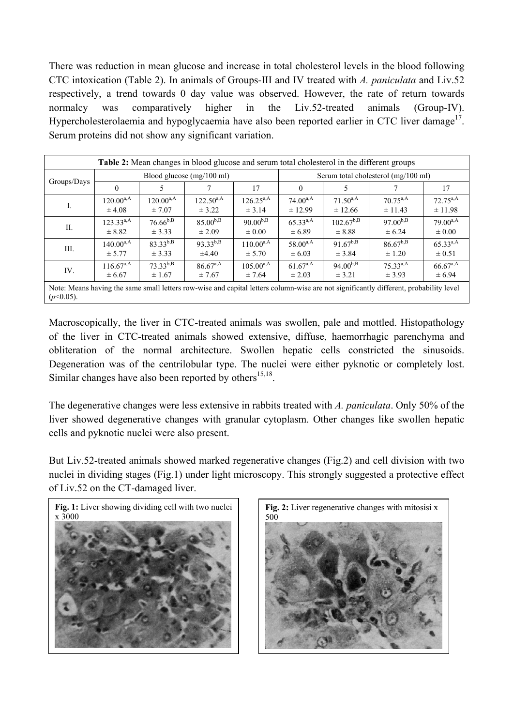There was reduction in mean glucose and increase in total cholesterol levels in the blood following CTC intoxication (Table 2). In animals of Groups-III and IV treated with *A. paniculata* and Liv.52 respectively, a trend towards 0 day value was observed. However, the rate of return towards normalcy was comparatively higher in the Liv.52-treated animals (Group-IV). Hypercholesterolaemia and hypoglycaemia have also been reported earlier in CTC liver damage<sup>17</sup>. Serum proteins did not show any significant variation.

| Table 2: Mean changes in blood glucose and serum total cholesterol in the different groups                                                            |                |                |                           |                |                                     |                |               |                      |  |  |  |
|-------------------------------------------------------------------------------------------------------------------------------------------------------|----------------|----------------|---------------------------|----------------|-------------------------------------|----------------|---------------|----------------------|--|--|--|
| Groups/Days                                                                                                                                           |                |                | Blood glucose (mg/100 ml) |                | Serum total cholesterol (mg/100 ml) |                |               |                      |  |  |  |
|                                                                                                                                                       | $\theta$       |                |                           | 17             | $\Omega$                            |                |               | 17                   |  |  |  |
| Ι.                                                                                                                                                    | $120.00^{a,A}$ | $120.00^{a,A}$ | $122.50^{a,A}$            | $126.25^{a,A}$ | $74.00^{a,A}$                       | $71.50^{a,A}$  | $70.75^{a,A}$ | $72.75^{\text{a,A}}$ |  |  |  |
|                                                                                                                                                       | $\pm$ 4.08     | $\pm 7.07$     | ± 3.22                    | ± 3.14         | ± 12.99                             | ± 12.66        | ± 11.43       | ± 11.98              |  |  |  |
| П.                                                                                                                                                    | $123.33^{a,A}$ | $76.66^{b,B}$  | $85.00^{b,B}$             | $90.00^{b,B}$  | $65.33^{a,A}$                       | $102.67^{b,B}$ | $97.00^{b,B}$ | $79.00^{a,A}$        |  |  |  |
|                                                                                                                                                       | $\pm 8.82$     | $\pm$ 3.33     | $\pm 2.09$                | $\pm 0.00$     | ± 6.89                              | $\pm 8.88$     | ± 6.24        | $\pm 0.00$           |  |  |  |
| Ш.                                                                                                                                                    | $140.00^{a,A}$ | $83.33^{b,B}$  | $93.33^{b,B}$             | $110.00^{a,A}$ | $58.00^{a,A}$                       | $91.67^{b,B}$  | $86.67^{b,B}$ | $65.33^{a,A}$        |  |  |  |
|                                                                                                                                                       | ± 5.77         | ± 3.33         | $\pm 4.40$                | ± 5.70         | $\pm 6.03$                          | ± 3.84         | $\pm 1.20$    | $\pm 0.51$           |  |  |  |
| IV.                                                                                                                                                   | $116.67^{a,A}$ | $73.33^{b,B}$  | $86.67^{a,A}$             | $105.00^{a,A}$ | $61.67^{a,A}$                       | $94.00^{b,B}$  | $75.33^{a,A}$ | $66.67^{a,A}$        |  |  |  |
|                                                                                                                                                       | ± 6.67         | $\pm 1.67$     | ± 7.67                    | ± 7.64         | $\pm 2.03$                          | $\pm$ 3.21     | $\pm$ 3.93    | ± 6.94               |  |  |  |
| Note: Means having the same small letters row-wise and capital letters column-wise are not significantly different, probability level<br>$(p<0.05)$ . |                |                |                           |                |                                     |                |               |                      |  |  |  |

Macroscopically, the liver in CTC-treated animals was swollen, pale and mottled. Histopathology of the liver in CTC-treated animals showed extensive, diffuse, haemorrhagic parenchyma and obliteration of the normal architecture. Swollen hepatic cells constricted the sinusoids. Degeneration was of the centrilobular type. The nuclei were either pyknotic or completely lost. Similar changes have also been reported by others $15,18$ .

The degenerative changes were less extensive in rabbits treated with *A. paniculata*. Only 50% of the liver showed degenerative changes with granular cytoplasm. Other changes like swollen hepatic cells and pyknotic nuclei were also present.

But Liv.52-treated animals showed marked regenerative changes (Fig.2) and cell division with two nuclei in dividing stages (Fig.1) under light microscopy. This strongly suggested a protective effect of Liv.52 on the CT-damaged liver.